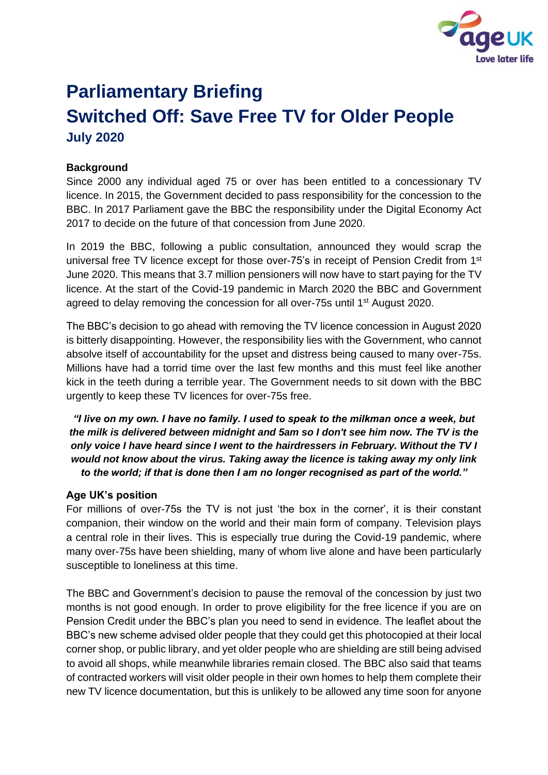

# **Parliamentary Briefing Switched Off: Save Free TV for Older People July 2020**

## **Background**

Since 2000 any individual aged 75 or over has been entitled to a concessionary TV licence. In 2015, the Government decided to pass responsibility for the concession to the BBC. In 2017 Parliament gave the BBC the responsibility under the Digital Economy Act 2017 to decide on the future of that concession from June 2020.

In 2019 the BBC, following a public consultation, announced they would scrap the universal free TV licence except for those over-75's in receipt of Pension Credit from 1<sup>st</sup> June 2020. This means that 3.7 million pensioners will now have to start paying for the TV licence. At the start of the Covid-19 pandemic in March 2020 the BBC and Government agreed to delay removing the concession for all over-75s until 1<sup>st</sup> August 2020.

The BBC's decision to go ahead with removing the TV licence concession in August 2020 is bitterly disappointing. However, the responsibility lies with the Government, who cannot absolve itself of accountability for the upset and distress being caused to many over-75s. Millions have had a torrid time over the last few months and this must feel like another kick in the teeth during a terrible year. The Government needs to sit down with the BBC urgently to keep these TV licences for over-75s free.

*"I live on my own. I have no family. I used to speak to the milkman once a week, but the milk is delivered between midnight and 5am so I don't see him now. The TV is the only voice I have heard since I went to the hairdressers in February. Without the TV I would not know about the virus. Taking away the licence is taking away my only link to the world; if that is done then I am no longer recognised as part of the world."*

### **Age UK's position**

For millions of over-75s the TV is not just 'the box in the corner', it is their constant companion, their window on the world and their main form of company. Television plays a central role in their lives. This is especially true during the Covid-19 pandemic, where many over-75s have been shielding, many of whom live alone and have been particularly susceptible to loneliness at this time.

The BBC and Government's decision to pause the removal of the concession by just two months is not good enough. In order to prove eligibility for the free licence if you are on Pension Credit under the BBC's plan you need to send in evidence. The leaflet about the BBC's new scheme advised older people that they could get this photocopied at their local corner shop, or public library, and yet older people who are shielding are still being advised to avoid all shops, while meanwhile libraries remain closed. The BBC also said that teams of contracted workers will visit older people in their own homes to help them complete their new TV licence documentation, but this is unlikely to be allowed any time soon for anyone